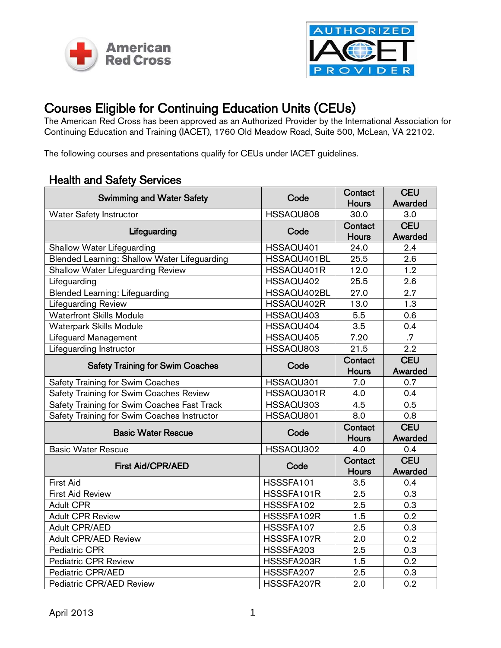



## Courses Eligible for Continuing Education Units (CEUs)<br>The American Red Cross has been approved as an Authorized Provider by the International Association for

Continuing Education and Training (IACET), 1760 Old Meadow Road, Suite 500, McLean, VA 22102.

The following courses and presentations qualify for CEUs under IACET guidelines.

## Health and Safety Services

| <b>Swimming and Water Safety</b>             | Code        | Contact      | <b>CEU</b> |
|----------------------------------------------|-------------|--------------|------------|
|                                              |             | <b>Hours</b> | Awarded    |
| <b>Water Safety Instructor</b>               | HSSAQU808   | 30.0         | 3.0        |
| Lifeguarding                                 | Code        | Contact      | <b>CEU</b> |
|                                              |             | <b>Hours</b> | Awarded    |
| Shallow Water Lifeguarding                   | HSSAQU401   | 24.0         | 2.4        |
| Blended Learning: Shallow Water Lifeguarding | HSSAQU401BL | 25.5         | 2.6        |
| <b>Shallow Water Lifeguarding Review</b>     | HSSAQU401R  | 12.0         | 1.2        |
| Lifeguarding                                 | HSSAQU402   | 25.5         | 2.6        |
| <b>Blended Learning: Lifeguarding</b>        | HSSAQU402BL | 27.0         | 2.7        |
| Lifeguarding Review                          | HSSAQU402R  | 13.0         | 1.3        |
| <b>Waterfront Skills Module</b>              | HSSAQU403   | 5.5          | 0.6        |
| <b>Waterpark Skills Module</b>               | HSSAQU404   | 3.5          | 0.4        |
| Lifeguard Management                         | HSSAQU405   | 7.20         | .7         |
| Lifeguarding Instructor                      | HSSAQU803   | 21.5         | 2.2        |
| <b>Safety Training for Swim Coaches</b>      | Code        | Contact      | <b>CEU</b> |
|                                              |             | <b>Hours</b> | Awarded    |
| Safety Training for Swim Coaches             | HSSAQU301   | 7.0          | 0.7        |
| Safety Training for Swim Coaches Review      | HSSAQU301R  | 4.0          | 0.4        |
| Safety Training for Swim Coaches Fast Track  | HSSAQU303   | 4.5          | 0.5        |
| Safety Training for Swim Coaches Instructor  | HSSAQU801   | 8.0          | 0.8        |
| <b>Basic Water Rescue</b>                    | Code        | Contact      | <b>CEU</b> |
|                                              |             | <b>Hours</b> | Awarded    |
| <b>Basic Water Rescue</b>                    | HSSAQU302   | 4.0          | 0.4        |
| <b>First Aid/CPR/AED</b>                     | Code        | Contact      | <b>CEU</b> |
|                                              |             | <b>Hours</b> | Awarded    |
| <b>First Aid</b>                             | HSSSFA101   | 3.5          | 0.4        |
| <b>First Aid Review</b>                      | HSSSFA101R  | 2.5          | 0.3        |
| <b>Adult CPR</b>                             | HSSSFA102   | 2.5          | 0.3        |
| <b>Adult CPR Review</b>                      | HSSSFA102R  | 1.5          | 0.2        |
| <b>Adult CPR/AED</b>                         | HSSSFA107   | 2.5          | 0.3        |
| <b>Adult CPR/AED Review</b>                  | HSSSFA107R  | 2.0          | 0.2        |
| Pediatric CPR                                | HSSSFA203   | 2.5          | 0.3        |
| <b>Pediatric CPR Review</b>                  | HSSSFA203R  | 1.5          | 0.2        |
| Pediatric CPR/AED                            | HSSSFA207   | 2.5          | 0.3        |
| Pediatric CPR/AED Review                     | HSSSFA207R  | 2.0          | 0.2        |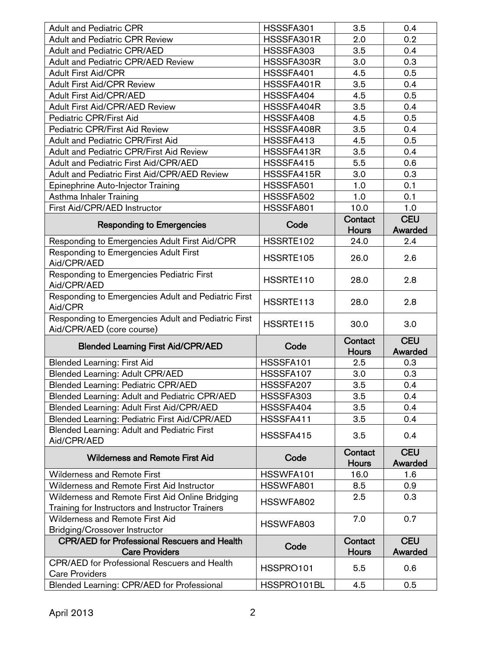| <b>Adult and Pediatric CPR</b>                                                              | HSSSFA301  | 3.5                     | 0.4                   |
|---------------------------------------------------------------------------------------------|------------|-------------------------|-----------------------|
| <b>Adult and Pediatric CPR Review</b>                                                       | HSSSFA301R | 2.0                     | 0.2                   |
| <b>Adult and Pediatric CPR/AED</b>                                                          | HSSSFA303  | 3.5                     | 0.4                   |
| <b>Adult and Pediatric CPR/AED Review</b>                                                   | HSSSFA303R | 3.0                     | 0.3                   |
| <b>Adult First Aid/CPR</b>                                                                  | HSSSFA401  | 4.5                     | 0.5                   |
| <b>Adult First Aid/CPR Review</b>                                                           | HSSSFA401R | 3.5                     | 0.4                   |
| <b>Adult First Aid/CPR/AED</b>                                                              | HSSSFA404  | 4.5                     | 0.5                   |
| <b>Adult First Aid/CPR/AED Review</b>                                                       | HSSSFA404R | 3.5                     | 0.4                   |
| Pediatric CPR/First Aid                                                                     | HSSSFA408  | 4.5                     | 0.5                   |
| Pediatric CPR/First Aid Review                                                              | HSSSFA408R | 3.5                     | 0.4                   |
| Adult and Pediatric CPR/First Aid                                                           | HSSSFA413  | 4.5                     | 0.5                   |
| <b>Adult and Pediatric CPR/First Aid Review</b>                                             | HSSSFA413R | 3.5                     | 0.4                   |
| <b>Adult and Pediatric First Aid/CPR/AED</b>                                                | HSSSFA415  | 5.5                     | 0.6                   |
| <b>Adult and Pediatric First Aid/CPR/AED Review</b>                                         | HSSSFA415R | 3.0                     | 0.3                   |
| Epinephrine Auto-Injector Training                                                          | HSSSFA501  | 1.0                     | 0.1                   |
| Asthma Inhaler Training                                                                     | HSSSFA502  | 1.0                     | 0.1                   |
| First Aid/CPR/AED Instructor                                                                | HSSSFA801  | 10.0                    | 1.0                   |
| <b>Responding to Emergencies</b>                                                            | Code       | Contact<br><b>Hours</b> | <b>CEU</b><br>Awarded |
| Responding to Emergencies Adult First Aid/CPR                                               | HSSRTE102  | 24.0                    | 2.4                   |
| Responding to Emergencies Adult First<br>Aid/CPR/AED                                        | HSSRTE105  | 26.0                    | 2.6                   |
| Responding to Emergencies Pediatric First<br>Aid/CPR/AED                                    | HSSRTE110  | 28.0                    | 2.8                   |
| Responding to Emergencies Adult and Pediatric First<br>Aid/CPR                              | HSSRTE113  | 28.0                    | 2.8                   |
| Responding to Emergencies Adult and Pediatric First<br>Aid/CPR/AED (core course)            | HSSRTE115  | 30.0                    | 3.0                   |
| <b>Blended Learning First Aid/CPR/AED</b>                                                   | Code       | Contact<br><b>Hours</b> | <b>CEU</b><br>Awarded |
| <b>Blended Learning: First Aid</b>                                                          | HSSSFA101  | 2.5                     |                       |
| <b>Blended Learning: Adult CPR/AED</b>                                                      |            |                         |                       |
|                                                                                             | HSSSFA107  | 3.0                     | 0.3<br>0.3            |
|                                                                                             | HSSSFA207  | 3.5                     |                       |
| <b>Blended Learning: Pediatric CPR/AED</b><br>Blended Learning: Adult and Pediatric CPR/AED | HSSSFA303  | 3.5                     | 0.4<br>0.4            |
| Blended Learning: Adult First Aid/CPR/AED                                                   | HSSSFA404  | 3.5                     | 0.4                   |
| <b>Blended Learning: Pediatric First Aid/CPR/AED</b>                                        | HSSSFA411  | 3.5                     | 0.4                   |
| Blended Learning: Adult and Pediatric First<br>Aid/CPR/AED                                  | HSSSFA415  | 3.5                     | 0.4                   |
| <b>Wilderness and Remote First Aid</b>                                                      | Code       | Contact                 | <b>CEU</b>            |
| <b>Wilderness and Remote First</b>                                                          | HSSWFA101  | <b>Hours</b><br>16.0    | Awarded<br>1.6        |
| Wilderness and Remote First Aid Instructor                                                  |            |                         |                       |
|                                                                                             | HSSWFA801  | 8.5<br>2.5              | 0.9<br>0.3            |
| Wilderness and Remote First Aid Online Bridging                                             | HSSWFA802  |                         |                       |
| Training for Instructors and Instructor Trainers<br>Wilderness and Remote First Aid         |            | 7.0                     | 0.7                   |
| <b>Bridging/Crossover Instructor</b>                                                        | HSSWFA803  |                         |                       |
| <b>CPR/AED for Professional Rescuers and Health</b>                                         |            | Contact                 | <b>CEU</b>            |
| <b>Care Providers</b>                                                                       | Code       | <b>Hours</b>            | Awarded               |
| CPR/AED for Professional Rescuers and Health                                                |            |                         |                       |
| <b>Care Providers</b>                                                                       | HSSPRO101  | 5.5                     | 0.6                   |